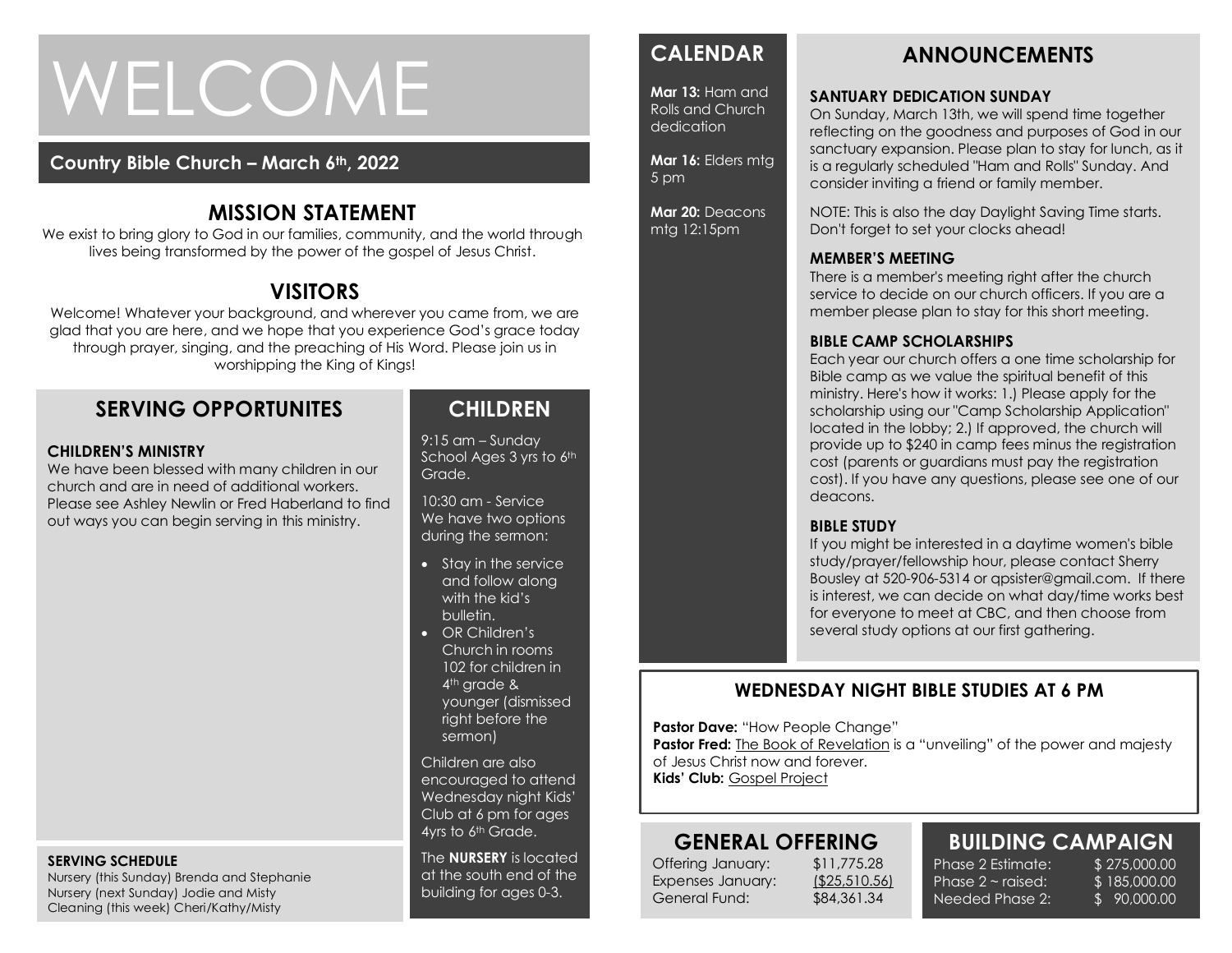# WELCOME

#### **Country Bible Church – March 6th, 2022**

## **MISSION STATEMENT**

We exist to bring glory to God in our families, community, and the world through lives being transformed by the power of the gospel of Jesus Christ.

## **VISITORS**

Welcome! Whatever your background, and wherever you came from, we are glad that you are here, and we hope that you experience God's grace today through prayer, singing, and the preaching of His Word. Please join us in worshipping the King of Kings!

## **SERVING OPPORTUNITES**

#### **CHILDREN'S MINISTRY**

We have been blessed with many children in our church and are in need of additional workers. Please see Ashley Newlin or Fred Haberland to find out ways you can begin serving in this ministry.

#### **SERVING SCHEDULE**

Nursery (this Sunday) Brenda and Stephanie Nursery (next Sunday) Jodie and Misty Cleaning (this week) Cheri/Kathy/Misty

## **CHILDREN**

9:15 am – Sunday School Ages 3 yrs to 6th Grade.

10:30 am - Service We have two options during the sermon:

- Stay in the service and follow along with the kid's bulletin.
- OR Children's Church in rooms 102 for children in 4<sup>th</sup> grade & younger (dismissed right before the sermon)

Children are also encouraged to attend Wednesday night Kids' Club at 6 pm for ages 4yrs to 6th Grade.

The **NURSERY** is located at the south end of the building for ages 0-3.

## **CALENDAR**

**Mar 13:** Ham and Rolls and Church dedication

**Mar 16:** Elders mtg 5 pm

**Mar 20:** Deacons mtg 12:15pm

#### On Sunday, March 13th, we will spend time together

**SANTUARY DEDICATION SUNDAY**

reflecting on the goodness and purposes of God in our sanctuary expansion. Please plan to stay for lunch, as it is a regularly scheduled "Ham and Rolls" Sunday. And consider inviting a friend or family member.

NOTE: This is also the day Daylight Saving Time starts. Don't forget to set your clocks ahead!

#### **MEMBER'S MEETING**

There is a member's meeting right after the church service to decide on our church officers. If you are a member please plan to stay for this short meeting.

#### **BIBLE CAMP SCHOLARSHIPS**

Each year our church offers a one time scholarship for Bible camp as we value the spiritual benefit of this ministry. Here's how it works: 1.) Please apply for the scholarship using our "Camp Scholarship Application" located in the lobby; 2.) If approved, the church will provide up to \$240 in camp fees minus the registration cost (parents or guardians must pay the registration cost). If you have any questions, please see one of our deacons.

#### **BIBLE STUDY**

If you might be interested in a daytime women's bible study/prayer/fellowship hour, please contact Sherry Bousley at 520-906-5314 or qpsister@gmail.com. If there is interest, we can decide on what day/time works best for everyone to meet at CBC, and then choose from several study options at our first gathering.

#### **WEDNESDAY NIGHT BIBLE STUDIES AT 6 PM**

**Pastor Dave: "How People Change"** 

**Pastor Fred:** The Book of Revelation is a "unveiling" of the power and majesty of Jesus Christ now and forever.

**Kids' Club:** Gospel Project

## **GENERAL OFFERING**

Offering January: \$11,775.28 Expenses January: (\$25,510.56) General Fund: \$84,361.34

Phase  $2 \sim$  raised: Needed Phase 2:

#### **BUILDING CAMPAIGN** Phase 2 Estimate: \$ 275,000.00

\$ 185,000.00 \$ 90,000.00

## **ANNOUNCEMENTS**